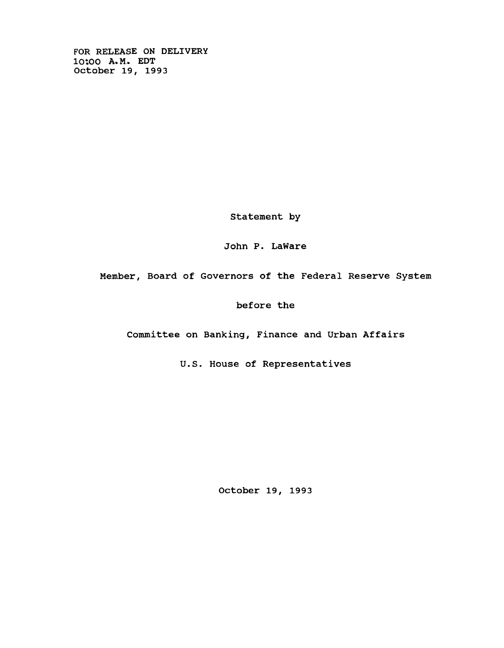**FOR RELEASE ON DELIVERY 10\*00 A. M. EDT October 19, 1993**

**Statement by**

John P. LaWare

**Member, Board of Governors of the Federal Reserve System**

**before the**

**Committee on Banking, Finance and Urban Affairs**

**U.S. House of Representatives**

**October 19, 1993**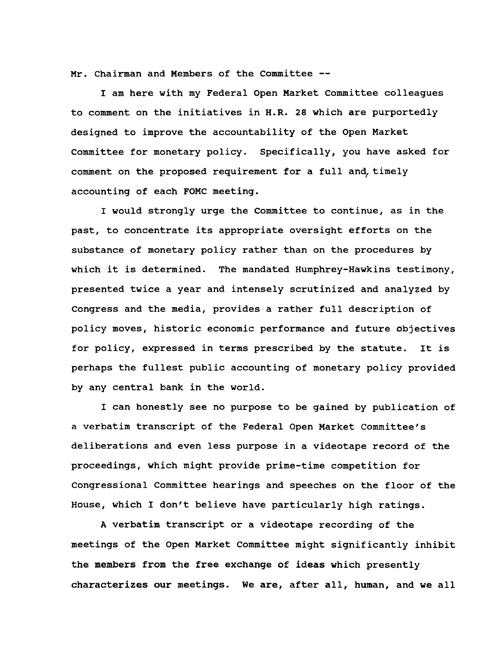**Mr. Chairman and Members of the Committee —**

**I am here with my Federal Open Market Committee colleagues to comment on the initiatives in H.R. 28 which are purportedly designed to improve the accountability of the Open Market Committee for monetary policy. Specifically, you have asked for comment on the proposed requirement for a full and, timely accounting of each FOMC meeting.**

**I would strongly urge the Committee to continue, as in the past, to concentrate its appropriate oversight efforts on the substance of monetary policy rather than on the procedures by which it is determined. The mandated Humphrey-Hawkins testimony, presented twice a year and intensely scrutinized and analyzed by Congress and the media, provides a rather full description of policy moves, historic economic performance and future objectives for policy, expressed in terms prescribed by the statute. It is perhaps the fullest public accounting of monetary policy provided by any central bank in the world.**

**I can honestly see no purpose to be gained by publication of a verbatim transcript of the Federal Open Market Committee's deliberations and even less purpose in a videotape record of the proceedings, which might provide prime-time competition for Congressional Committee hearings and speeches on the floor of the House, which I don't believe have particularly high ratings.**

**A verbatim transcript or a videotape recording of the meetings of the Open Market Committee might significantly inhibit the members from the free exchange of ideas which presently characterizes our meetings. We are, after all, human, and we all**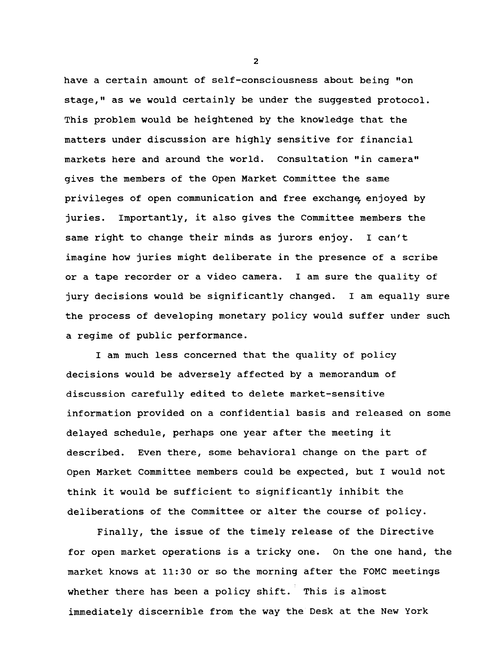**have a certain amount of self-consciousness about being "on stage," as we would certainly be under the suggested protocol. This problem would be heightened by the knowledge that the matters under discussion are highly sensitive for financial markets here and around the world. Consultation "in camera" gives the members of the Open Market Committee the same privileges of open communication and free exchange enjoyed by juries. Importantly, it also gives the Committee members the same right to change their minds as jurors enjoy. I can't imagine how juries might deliberate in the presence of a scribe or a tape recorder or a video camera. I am sure the quality of jury decisions would be significantly changed. I am equally sure the process of developing monetary policy would suffer under such a regime of public performance.**

**I am much less concerned that the quality of policy decisions would be adversely affected by a memorandum of discussion carefully edited to delete market-sensitive information provided on a confidential basis and released on some delayed schedule, perhaps one year after the meeting it described. Even there, some behavioral change on the part of Open Market Committee members could be expected, but I would not think it would be sufficient to significantly inhibit the deliberations of the Committee or alter the course of policy.**

**Finally, the issue of the timely release of the Directive for open market operations is a tricky one. On the one hand, the market knows at 11:30 or so the morning after the FOMC meetings whether there has been a policy shift. This is almost immediately discernible from the way the Desk at the New York**

**2**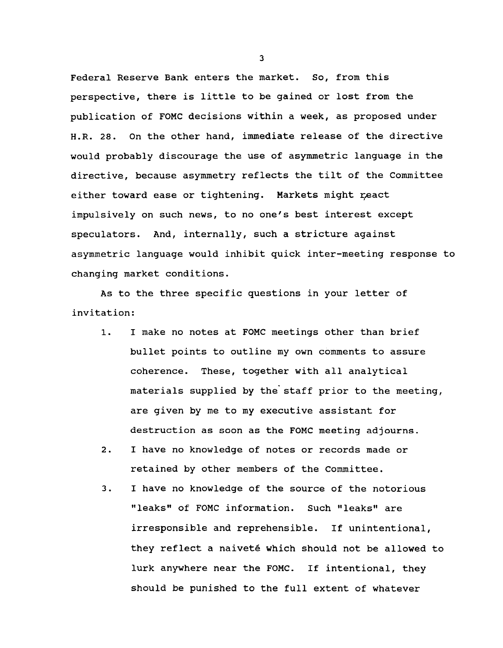**Federal Reserve Bank enters the market. So, from this perspective, there is little to be gained or lost from the publication of FOMC decisions within a week, as proposed under H.R. 28. On the other hand, immediate release of the directive would probably discourage the use of asymmetric language in the directive, because asymmetry reflects the tilt of the Committee** either toward ease or tightening. Markets might react **impulsively on such news, to no one's best interest except speculators. And, internally, such a stricture against asymmetric language would inhibit quick inter-meeting response to changing market conditions.**

**As to the three specific questions in your letter of invitation:**

- **1. I make no notes at FOMC meetings other than brief bullet points to outline my own comments to assure coherence. These, together with all analytical materials supplied by the staff prior to the meeting, are given by me to my executive assistant for destruction as soon as the FOMC meeting adjourns.**
- **2. I have no knowledge of notes or records made or retained by other members of the Committee.**
- **3. I have no knowledge of the source of the notorious "leaks" of FOMC information. Such "leaks" are irresponsible and reprehensible. If unintentional, they reflect a naivete which should not be allowed to lurk anywhere near the FOMC. If intentional, they should be punished to the full extent of whatever**

**3**